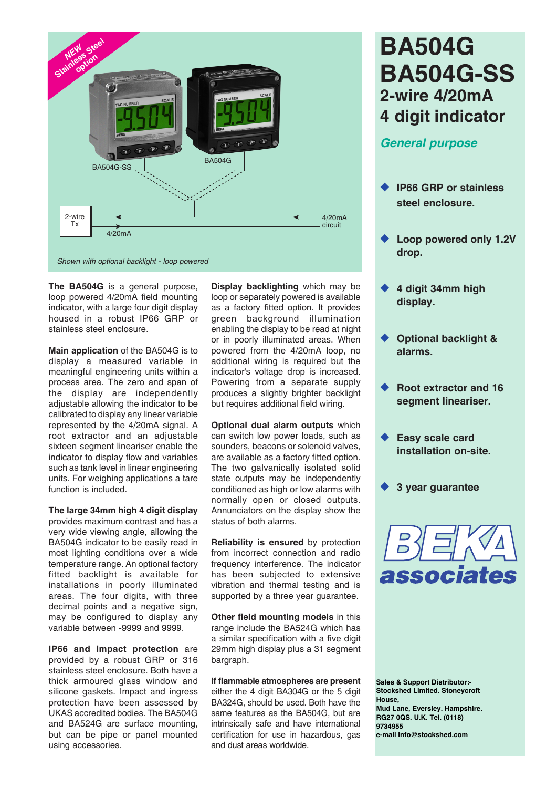

**The BA504G** is a general purpose, loop powered 4/20mA field mounting indicator, with a large four digit display housed in a robust IP66 GRP or stainless steel enclosure.

**Main application** of the BA504G is to display a measured variable in meaningful engineering units within a process area. The zero and span of the display are independently adjustable allowing the indicator to be calibrated to display any linear variable represented by the 4/20mA signal. A root extractor and an adjustable sixteen segment lineariser enable the indicator to display flow and variables such as tank level in linear engineering units. For weighing applications a tare function is included.

**The large 34mm high 4 digit display** provides maximum contrast and has a very wide viewing angle, allowing the BA504G indicator to be easily read in most lighting conditions over a wide temperature range. An optional factory fitted backlight is available for installations in poorly illuminated areas. The four digits, with three decimal points and a negative sign, may be configured to display any variable between -9999 and 9999.

**IP66 and impact protection** are provided by a robust GRP or 316 stainless steel enclosure. Both have a thick armoured glass window and silicone gaskets. Impact and ingress protection have been assessed by UKAS accredited bodies. The BA504G and BA524G are surface mounting, but can be pipe or panel mounted using accessories.

**Display backlighting** which may be loop or separately powered is available as a factory fitted option. It provides green background illumination enabling the display to be read at night or in poorly illuminated areas. When powered from the 4/20mA loop, no additional wiring is required but the indicator's voltage drop is increased. Powering from a separate supply produces a slightly brighter backlight but requires additional field wiring.

**Optional dual alarm outputs** which can switch low power loads, such as sounders, beacons or solenoid valves, are available as a factory fitted option. The two galvanically isolated solid state outputs may be independently conditioned as high or low alarms with normally open or closed outputs. Annunciators on the display show the status of both alarms.

**Reliability is ensured** by protection from incorrect connection and radio frequency interference. The indicator has been subjected to extensive vibration and thermal testing and is supported by a three year guarantee.

**Other field mounting models** in this range include the BA524G which has a similar specification with a five digit 29mm high display plus a 31 segment bargraph.

**If flammable atmospheres are present** either the 4 digit BA304G or the 5 digit BA324G, should be used. Both have the same features as the BA504G, but are intrinsically safe and have international certification for use in hazardous, gas and dust areas worldwide.

# **BA504G BA504G-SS 2-wire 4/20mA 4 digit indicator**

# *General purpose*

- **IP66 GRP or stainless steel enclosure.**
- **Loop powered only 1.2V drop.**
- ◆ 4 digit 34mm high **display.**
- **Optional backlight & alarms.**
- **Root extractor and 16 segment lineariser.**
- **Easy scale card installation on-site.**
- **3 year guarantee**



**Sales & Support Distributor:- Stockshed Limited. Stoneycroft House, Mud Lane, Eversley. Hampshire. RG27 0QS. U.K. Tel. (0118) 9734955 e-mail info@stockshed.com**